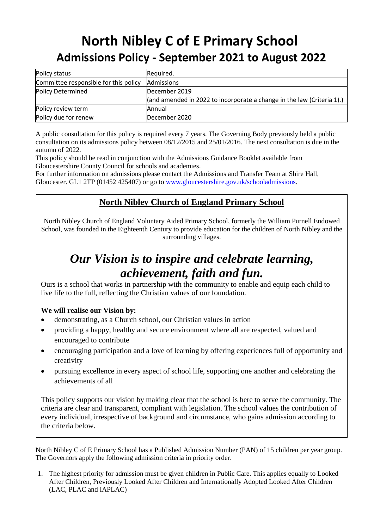# **North Nibley C of E Primary School Admissions Policy - September 2021 to August 2022**

| Policy status                         | Required.                                                              |
|---------------------------------------|------------------------------------------------------------------------|
| Committee responsible for this policy | Admissions                                                             |
| <b>Policy Determined</b>              | December 2019                                                          |
|                                       | (and amended in 2022 to incorporate a change in the law (Criteria 1).) |
| Policy review term                    | Annual                                                                 |
| Policy due for renew                  | December 2020                                                          |

A public consultation for this policy is required every 7 years. The Governing Body previously held a public consultation on its admissions policy between 08/12/2015 and 25/01/2016. The next consultation is due in the autumn of 2022.

This policy should be read in conjunction with the Admissions Guidance Booklet available from Gloucestershire County Council for schools and academies.

For further information on admissions please contact the Admissions and Transfer Team at Shire Hall, Gloucester. GL1 2TP (01452 425407) or go to [www.gloucestershire.gov.uk/schooladmissions.](http://www.gloucestershire.gov.uk/schooladmissions)

### **North Nibley Church of England Primary School**

North Nibley Church of England Voluntary Aided Primary School, formerly the William Purnell Endowed School, was founded in the Eighteenth Century to provide education for the children of North Nibley and the surrounding villages.

## *Our Vision is to inspire and celebrate learning, achievement, faith and fun.*

Ours is a school that works in partnership with the community to enable and equip each child to live life to the full, reflecting the Christian values of our foundation.

#### **We will realise our Vision by:**

- demonstrating, as a Church school, our Christian values in action
- providing a happy, healthy and secure environment where all are respected, valued and encouraged to contribute
- encouraging participation and a love of learning by offering experiences full of opportunity and creativity
- pursuing excellence in every aspect of school life, supporting one another and celebrating the achievements of all

This policy supports our vision by making clear that the school is here to serve the community. The criteria are clear and transparent, compliant with legislation. The school values the contribution of every individual, irrespective of background and circumstance, who gains admission according to the criteria below.

North Nibley C of E Primary School has a Published Admission Number (PAN) of 15 children per year group. The Governors apply the following admission criteria in priority order.

1. The highest priority for admission must be given children in Public Care. This applies equally to Looked After Children, Previously Looked After Children and Internationally Adopted Looked After Children (LAC, PLAC and IAPLAC)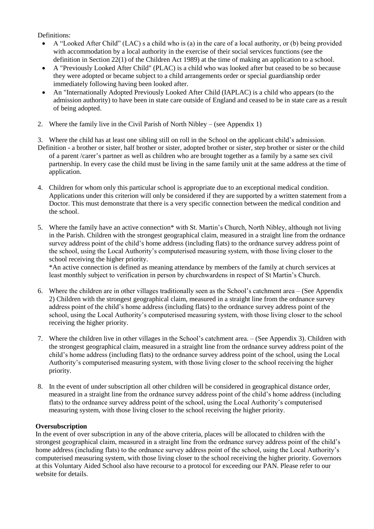Definitions:

- A "Looked After Child" (LAC) s a child who is (a) in the care of a local authority, or (b) being provided with accommodation by a local authority in the exercise of their social services functions (see the definition in Section 22(1) of the Children Act 1989) at the time of making an application to a school.
- A "Previously Looked After Child" (PLAC) is a child who was looked after but ceased to be so because they were adopted or became subject to a child arrangements order or special guardianship order immediately following having been looked after.
- An "Internationally Adopted Previously Looked After Child (IAPLAC) is a child who appears (to the admission authority) to have been in state care outside of England and ceased to be in state care as a result of being adopted.
- 2. Where the family live in the Civil Parish of North Nibley (see Appendix 1)

3. Where the child has at least one sibling still on roll in the School on the applicant child's admission.

Definition - a brother or sister, half brother or sister, adopted brother or sister, step brother or sister or the child of a parent /carer's partner as well as children who are brought together as a family by a same sex civil partnership. In every case the child must be living in the same family unit at the same address at the time of application.

- 4. Children for whom only this particular school is appropriate due to an exceptional medical condition. Applications under this criterion will only be considered if they are supported by a written statement from a Doctor. This must demonstrate that there is a very specific connection between the medical condition and the school.
- 5. Where the family have an active connection\* with St. Martin's Church, North Nibley, although not living in the Parish. Children with the strongest geographical claim, measured in a straight line from the ordnance survey address point of the child's home address (including flats) to the ordnance survey address point of the school, using the Local Authority's computerised measuring system, with those living closer to the school receiving the higher priority.

\*An active connection is defined as meaning attendance by members of the family at church services at least monthly subject to verification in person by churchwardens in respect of St Martin's Church.

- 6. Where the children are in other villages traditionally seen as the School's catchment area (See Appendix 2) Children with the strongest geographical claim, measured in a straight line from the ordnance survey address point of the child's home address (including flats) to the ordnance survey address point of the school, using the Local Authority's computerised measuring system, with those living closer to the school receiving the higher priority.
- 7. Where the children live in other villages in the School's catchment area. (See Appendix 3). Children with the strongest geographical claim, measured in a straight line from the ordnance survey address point of the child's home address (including flats) to the ordnance survey address point of the school, using the Local Authority's computerised measuring system, with those living closer to the school receiving the higher priority.
- 8. In the event of under subscription all other children will be considered in geographical distance order, measured in a straight line from the ordnance survey address point of the child's home address (including flats) to the ordnance survey address point of the school, using the Local Authority's computerised measuring system, with those living closer to the school receiving the higher priority.

#### **Oversubscription**

In the event of over subscription in any of the above criteria, places will be allocated to children with the strongest geographical claim, measured in a straight line from the ordnance survey address point of the child's home address (including flats) to the ordnance survey address point of the school, using the Local Authority's computerised measuring system, with those living closer to the school receiving the higher priority. Governors at this Voluntary Aided School also have recourse to a protocol for exceeding our PAN. Please refer to our website for details.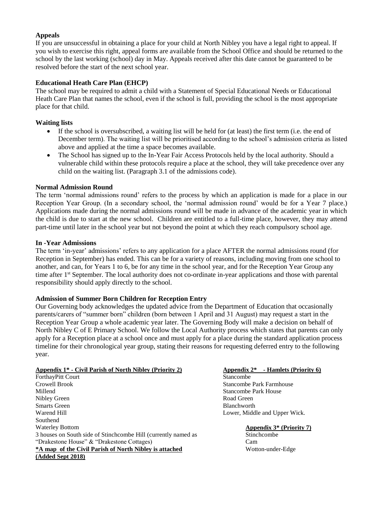#### **Appeals**

If you are unsuccessful in obtaining a place for your child at North Nibley you have a legal right to appeal. If you wish to exercise this right, appeal forms are available from the School Office and should be returned to the school by the last working (school) day in May. Appeals received after this date cannot be guaranteed to be resolved before the start of the next school year.

#### **Educational Heath Care Plan (EHCP)**

The school may be required to admit a child with a Statement of Special Educational Needs or Educational Heath Care Plan that names the school, even if the school is full, providing the school is the most appropriate place for that child.

#### **Waiting lists**

- If the school is oversubscribed, a waiting list will be held for (at least) the first term (i.e. the end of December term). The waiting list will be prioritised according to the school's admission criteria as listed above and applied at the time a space becomes available.
- The School has signed up to the In-Year Fair Access Protocols held by the local authority. Should a vulnerable child within these protocols require a place at the school, they will take precedence over any child on the waiting list. (Paragraph 3.1 of the admissions code).

#### **Normal Admission Round**

The term 'normal admissions round' refers to the process by which an application is made for a place in our Reception Year Group. (In a secondary school, the 'normal admission round' would be for a Year 7 place.) Applications made during the normal admissions round will be made in advance of the academic year in which the child is due to start at the new school. Children are entitled to a full-time place, however, they may attend part-time until later in the school year but not beyond the point at which they reach compulsory school age.

#### **In -Year Admissions**

The term 'in-year' admissions' refers to any application for a place AFTER the normal admissions round (for Reception in September) has ended. This can be for a variety of reasons, including moving from one school to another, and can, for Years 1 to 6, be for any time in the school year, and for the Reception Year Group any time after 1<sup>st</sup> September. The local authority does not co-ordinate in-year applications and those with parental responsibility should apply directly to the school.

#### **Admission of Summer Born Children for Reception Entry**

Our Governing body acknowledges the updated advice from the Department of Education that occasionally parents/carers of "summer born" children (born between 1 April and 31 August) may request a start in the Reception Year Group a whole academic year later. The Governing Body will make a decision on behalf of North Nibley C of E Primary School. We follow the Local Authority process which states that parents can only apply for a Reception place at a school once and must apply for a place during the standard application process timeline for their chronological year group, stating their reasons for requesting deferred entry to the following year.

#### **Appendix 1\* - Civil Parish of North Nibley (Priority 2)**

ForthayPitt Court Crowell Brook Millend Nibley Green Smarts Green Warend Hill Southend Waterley Bottom 3 houses on South side of Stinchcombe Hill (currently named as "Drakestone House" & "Drakestone Cottages) **\*A map of the Civil Parish of North Nibley is attached (Added Sept 2018)**

#### **Appendix 2\* - Hamlets (Priority 6)**

Stancombe Stancombe Park Farmhouse Stancombe Park House Road Green Blanchworth Lower, Middle and Upper Wick.

#### **Appendix 3\* (Priority 7)**

Stinchcombe Cam Wotton-under-Edge